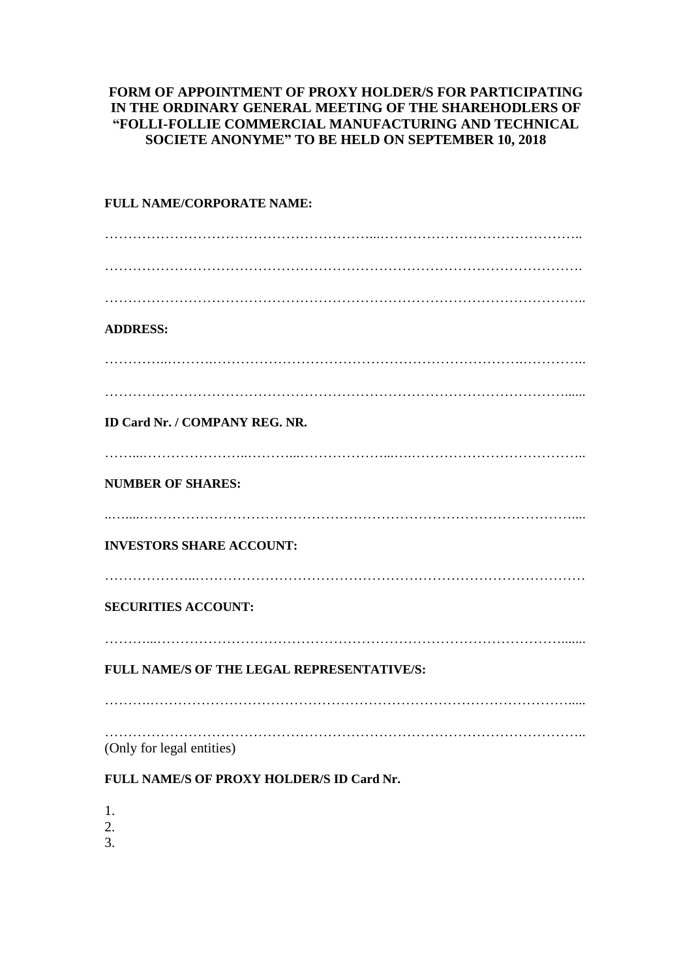## **FORM OF APPOINTMENT OF PROXY HOLDER/S FOR PARTICIPATING IN THE ORDINARY GENERAL MEETING OF THE SHAREHODLERS OF "FOLLI-FOLLIE COMMERCIAL MANUFACTURING AND TECHNICAL SOCIETE ANONYME" TO BE HELD ON SEPTEMBER 10, 2018**

## **FULL NAME/CORPORATE NAME:** …………………………………………………...…………………………………….. …………………………………………………………………………………………. ………………………………………………………………………………………….. **ADDRESS:** …………..……….………………………………………………………….………….. ………………………………………………………………………………………...... **ID Card Nr. / COMPANY REG. NR.** ……...…………………..………...………………...….……………………………….. **NUMBER OF SHARES:** ..…....………………………………………………………………………………….... **INVESTORS SHARE ACCOUNT:** ………………..………………………………………………………………………… **SECURITIES ACCOUNT:** ………...……………………………………………………………………………....... **FULL NAME/S OF THE LEGAL REPRESENTATIVE/S:** ……….………………………………………………………………………………..... ………………………………………………………………………………………….. (Only for legal entities) **FULL NAME/S OF PROXY HOLDER/S ID Card Nr.** 1.

- 2.
- 3.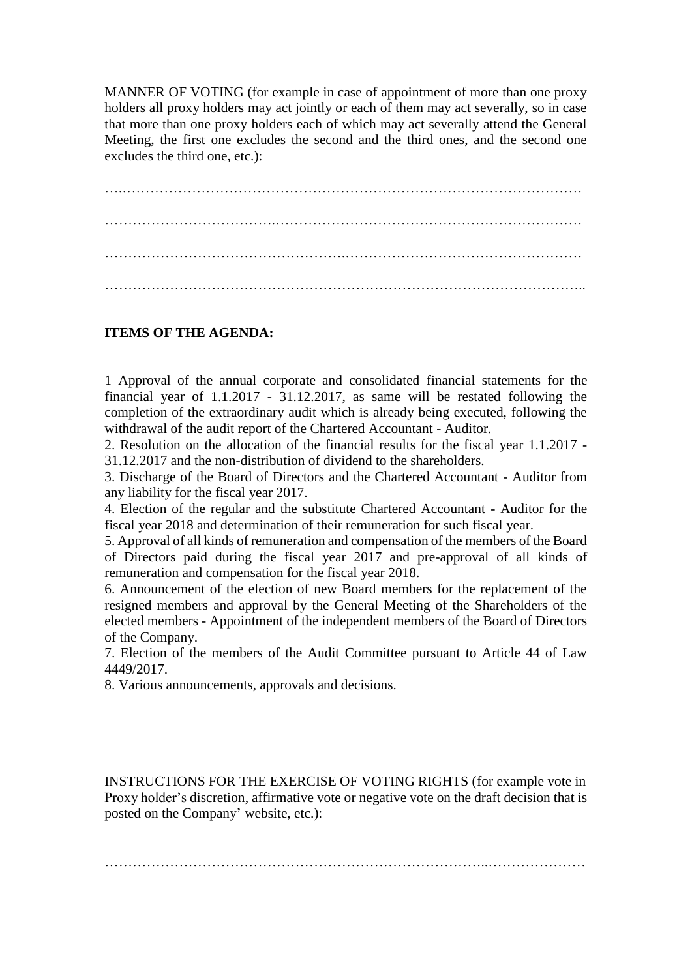MANNER OF VOTING (for example in case of appointment of more than one proxy holders all proxy holders may act jointly or each of them may act severally, so in case that more than one proxy holders each of which may act severally attend the General Meeting, the first one excludes the second and the third ones, and the second one excludes the third one, etc.):

….……………………………………………………………………………………… ……………………………….………………………………………………………… …………………………………………….…………………………………………… …………………………………………………………………………………………..

## **ITEMS OF THE AGENDA:**

1 Approval of the annual corporate and consolidated financial statements for the financial year of 1.1.2017 - 31.12.2017, as same will be restated following the completion of the extraordinary audit which is already being executed, following the withdrawal of the audit report of the Chartered Accountant - Auditor.

2. Resolution on the allocation of the financial results for the fiscal year 1.1.2017 - 31.12.2017 and the non-distribution of dividend to the shareholders.

3. Discharge of the Board of Directors and the Chartered Accountant - Auditor from any liability for the fiscal year 2017.

4. Election of the regular and the substitute Chartered Accountant - Auditor for the fiscal year 2018 and determination of their remuneration for such fiscal year.

5. Approval of all kinds of remuneration and compensation of the members of the Board of Directors paid during the fiscal year 2017 and pre-approval of all kinds of remuneration and compensation for the fiscal year 2018.

6. Announcement of the election of new Board members for the replacement of the resigned members and approval by the General Meeting of the Shareholders of the elected members - Appointment of the independent members of the Board of Directors of the Company.

7. Election of the members of the Audit Committee pursuant to Article 44 of Law 4449/2017.

8. Various announcements, approvals and decisions.

INSTRUCTIONS FOR THE EXERCISE OF VOTING RIGHTS (for example vote in Proxy holder's discretion, affirmative vote or negative vote on the draft decision that is posted on the Company' website, etc.):

………………………………………………………………………..…………………